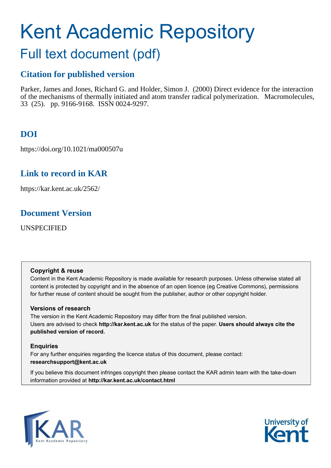# Kent Academic Repository

# Full text document (pdf)

# **Citation for published version**

Parker, James and Jones, Richard G. and Holder, Simon J. (2000) Direct evidence for the interaction of the mechanisms of thermally initiated and atom transfer radical polymerization. Macromolecules, 33 (25). pp. 9166-9168. ISSN 0024-9297.

# **DOI**

https://doi.org/10.1021/ma000507u

# **Link to record in KAR**

https://kar.kent.ac.uk/2562/

## **Document Version**

UNSPECIFIED

## **Copyright & reuse**

Content in the Kent Academic Repository is made available for research purposes. Unless otherwise stated all content is protected by copyright and in the absence of an open licence (eg Creative Commons), permissions for further reuse of content should be sought from the publisher, author or other copyright holder.

## **Versions of research**

The version in the Kent Academic Repository may differ from the final published version. Users are advised to check **http://kar.kent.ac.uk** for the status of the paper. **Users should always cite the published version of record.**

## **Enquiries**

For any further enquiries regarding the licence status of this document, please contact: **researchsupport@kent.ac.uk**

If you believe this document infringes copyright then please contact the KAR admin team with the take-down information provided at **http://kar.kent.ac.uk/contact.html**



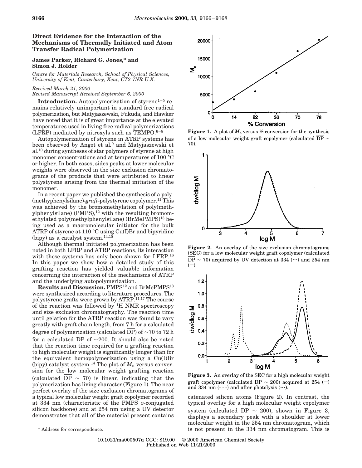### **Direct Evidence for the Interaction of the Mechanisms of Thermally Initiated and Atom Transfer Radical Polymerization**

#### **James Parker, Richard G. Jones,\* and Simon J. Holder**

*Centre for Materials Research, School of Physical Sciences, University of Kent, Canterbury, Kent, CT2 7NR U.K.*

#### *Received March 21, 2000*

*Revised Manuscript Received September 6, 2000*

**Introduction.** Autopolymerization of styrene $1-5$  remains relatively unimportant in standard free radical polymerization, but Matyjaszewski, Fukuda, and Hawker have noted that it is of great importance at the elevated temperatures used in living free radical polymerizations (LFRP) mediated by nitroxyls such as  $TEMPO.6-8$ 

Autopolymerization of styrene in ATRP systems has been observed by Angot et al*.* <sup>9</sup> and Matyjaszewski et al.<sup>10</sup> during syntheses of star polymers of styrene at high monomer concentrations and at temperatures of 100 °C or higher. In both cases, sides peaks at lower molecular weights were observed in the size exclusion chromatograms of the products that were attributed to linear polystyrene arising from the thermal initiation of the monomer.

In a recent paper we published the synthesis of a poly- (methyphenylsilane)-*graft*-polystyrene copolymer.<sup>11</sup> This was achieved by the bromomethylation of poly(methylphenylsilane)  $(PMPS)$ ,<sup>12</sup> with the resulting bromomethylated poly(methylphenylsilane) (BrMePMPS)<sup>13</sup> being used as a macromolecular initiator for the bulk ATRP of styrene at 110 °C using Cu(I)Br and bipyridine (bipy) as a catalyst system. $14,15$ 

Although thermal initiated polymerization has been noted in both LFRP and ATRP reactions, its interaction with these systems has only been shown for LFRP.<sup>16</sup> In this paper we show how a detailed study of this grafting reaction has yielded valuable information concerning the interaction of the mechanisms of ATRP and the underlying autopolymerization.

**Results and Discussion.** PMPS<sup>12</sup> and BrMePMPS<sup>13</sup> were synthesized according to literature procedures. The polystyrene grafts were grown by ATRP.11,17 The course of the reaction was followed by <sup>1</sup>H NMR spectroscopy and size exclusion chromatography. The reaction time until gelation for the ATRP reaction was found to vary greatly with graft chain length, from 7 h for a calculated degree of polymerization (calculated DP) of ∼70 to 72 h for a calculated DP of ∼200. It should also be noted that the reaction time required for a grafting reaction to high molecular weight is significantly longer than for the equivalent homopolymerization using a Cu(I)Br (bipy) catalyst system.<sup>14</sup> The plot of  $M_n$  versus conversion for the low molecular weight grafting reaction (calculated DP  $\sim$  70) is linear, indicating that the polymerization has living character (Figure 1). The near perfect overlay of the size exclusion chromatograms of a typical low molecular weight graft copolymer recorded at 334 nm (characteristic of the PMPS  $\sigma$ -conjugated silicon backbone) and at 254 nm using a UV detector demonstrates that all of the material present contains



**Figure 1.** A plot of  $M_n$  versus % conversion for the synthesis of a low molecular weight graft copolymer (calculated DP ∼ 70).



Figure 2. An overlay of the size exclusion chromatograms (SEC) for a low molecular weight graft copolymer (calculated  $\overline{DP} \sim 70$ ) acquired by UV detection at 334 (…) and 254 nm  $(-).$ 



**Figure 3.** An overlay of the SEC for a high molecular weight graft copolymer (calculated DP  $\sim$  200) acquired at 254 (-) and 334 nm (- - -) and after photolysis  $(\cdots)$ .

catenated silicon atoms (Figure 2). In contrast, the typical overlay for a high molecular weight copolymer system (calculated DP  $\sim$  200), shown in Figure 3, displays a secondary peak with a shoulder at lower molecular weight in the 254 nm chromatogram, which \* Address for correspondence. is not present in the 334 nm chromatogram. This is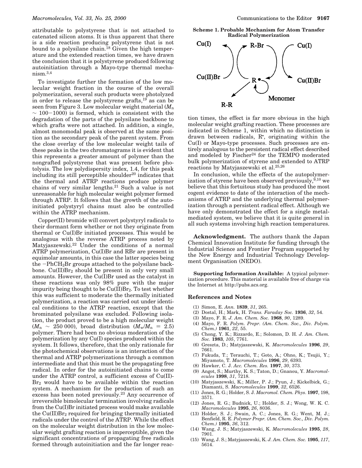attributable to polystyrene that is not attached to catenated silicon atoms. It is thus apparent that there is a side reaction producing polystyrene that is not bound to a polysilane chain.<sup>18</sup> Given the high temperature and the extended reaction times, we have drawn the conclusion that it is polystyrene produced following autoinitiation through a Mayo-type thermal mecha $nism.<sup>3,4</sup>$ 

To investigate further the formation of the low molecular weight fraction in the course of the overall polymerization, several such products were photolyzed in order to release the polystyrene grafts, $^{19}$  as can be seen from Figure 3. Low molecular weight material (*M*<sup>n</sup>  $~\sim$  100-1000) is formed, which is consistent with the degradation of the parts of the polysilane backbone to which grafts were not attached. In addition, a single, almost monomodal peak is observed at the same position as the secondary peak of the parent system. From the close overlay of the low molecular weight tails of these peaks in the two chromatograms it is evident that this represents a greater amount of polymer than the nongrafted polystyrene that was present before photolysis. The low polydispersity index, 1.4, for this peak including its still perceptible shoulder $20$  indicates that the thermal and ATRP reactions produce polymer chains of very similar lengths.<sup>21</sup> Such a value is not unreasonable for high molecular weight polymer formed through ATRP. It follows that the growth of the autoinitiated polystyryl chains must also be controlled within the ATRP mechanism.

Copper(II) bromide will convert polystyryl radicals to their dormant form whether or not they originate from thermal or Cu(I)Br initiated processes. This would be analogous with the reverse ATRP process noted by Matyjaszewski.<sup>22</sup> Under the conditions of a normal ATRP polymerization, Cu(I)Br and RBr are present in equimolar amounts, in this case the latter species being the  $-PhCH<sub>2</sub>Br$  groups attached to the polysilane backbone.  $Cu(II)Br<sub>2</sub>$  should be present in only very small amounts. However, the Cu(I)Br used as the catalyst in these reactions was only 98% pure with the major impurity being thought to be  $Cu(II)Br<sub>2</sub>$ . To test whether this was sufficient to moderate the thermally initiated polymerization, a reaction was carried out under identical conditions to the ATRP reaction, except that the brominated polysilane was excluded. Following isolation, the product proved to be a high molecular weight  $(M_n \sim 250\,000)$ , broad distribution  $(M_w/M_n = 2.5)$ polymer. There had been no obvious moderation of the polymerization by any Cu(I) species produced within the system. It follows, therefore, that the only rationale for the photochemical observations is an interaction of the thermal and ATRP polymerizations through a common intermediate and that this must be the propagating free radical. In order for the autoinitiated chains to come under the ATRP control, a sufficient excess of Cu(II)- Br<sub>2</sub> would have to be available within the reaction system. A mechanism for the production of such an excess has been noted previously.<sup>23</sup> Any occurrence of irreversible bimolecular termination involving radicals from the Cu(I)Br initiated process would make available the  $Cu(II)Br<sub>2</sub>$  required for bringing thermally initiated radicals under the control of the ATRP. While the effect on the molecular weight distribution in the low molecular weight grafting reaction is imperceptible, given the significant concentrations of propagating free radicals formed through autoinitiation and the far longer reac-

**Scheme 1. Probable Mechanism for Atom Transfer Radical Polymerization**



tion times, the effect is far more obvious in the high molecular weight grafting reaction. These processes are indicated in Scheme 1, within which no distinction is drawn between radicals, R• , originating within the Cu(I) or Mayo-type processes. Such processes are entirely analogous to the persistent radical effect described and modeled by Fischer<sup>24</sup> for the TEMPO moderated bulk polymerization of styrene and extended to ATRP reactions by Matyjaszewski et al.25,26

In conclusion, while the effects of the autopolymerization of styrene have been observed previously,  $9,10$  we believe that this fortuitous study has produced the most cogent evidence to date of the interaction of the mechanisms of ATRP and the underlying thermal polymerization through a persistent radical effect. Although we have only demonstrated the effect for a single metalmediated system, we believe that it is quite general in all such systems involving high reaction temperatures.

**Acknowledgment.** The authors thank the Japan Chemical Innovation Institute for funding through the Industrial Science and Frontier Program supported by the New Energy and Industrial Technology Development Organisation (NEDO).

**Supporting Information Available:** A typical polymerization procedure. This material is available free of charge via the Internet at http://pubs.acs.org.

#### **References and Notes**

- (1) Simon, E. *Ann.* **1839**, *31*, 265.
- (2) Dostal, H.; Mark, H. *Trans. Faraday Soc.* **1936**, *32*, 54.
- (3) Mayo, F. R. *J. Am. Chem. Soc.* **1968**, *90*, 1289.
- (4) Mayo, F. R. *Polym. Prepr. (Am. Chem. Soc., Div. Polym. Chem.)* **1961**, *22*, 55.
- (5) Chong, Y. K.; Rizzardo, E.; Solomon, D. H. *J. Am. Chem. Soc.* **1983**, *105*, 7761.
- (6) Greszta, D.; Matyjaszewski, K. *Macromolecules* **1996**, *29*, 7661.
- (7) Fukuda, T.; Terauchi, T.; Goto, A.; Ohno, K.; Tsujii, Y.; Miyamoto, T. *Macromolecules* **1996**, *29*, 6393.
- (8) Hawker, C. J. *Acc. Chem. Res.* **1997**, *30*, 373.
- (9) Angot, S.; Murthy, K. S.; Taton, D.; Gnanou, Y. *Macromolecules* **1998**, *31*, 7218.
- (10) Matyjaszewski, K.; Miller, P. J.; Pyun, J.; Kickelbick, G.; Diamanti, S. *Macromolecules* **1999**, *32*, 6526.
- (11) Jones, R. G.; Holder, S. J. *Macromol. Chem. Phys*. **1997**, 198, 3571.
- (12) Jones, R. G.; Budnick, U.; Holder, S. J.; Wong, W. K. C. *Macromolecules* **1995**, *26*, 8036.
- (13) Holder, S. J.; Swain, A. C.; Jones, R. G.; Went, M. J.; Benfield, R. E. *Polymer Prepr. (Am. Chem. Soc., Div. Polym. Chem.)* **1995**, *36*, 312.
- (14) Wang, J. S.; Matyjaszewski, K. *Macromolecules* **1995**, *28*, 7901.
- (15) Wang, J. S.; Matyjaszewski, K. *J. Am. Chem. Soc.* **1995**, *117*, 5614.